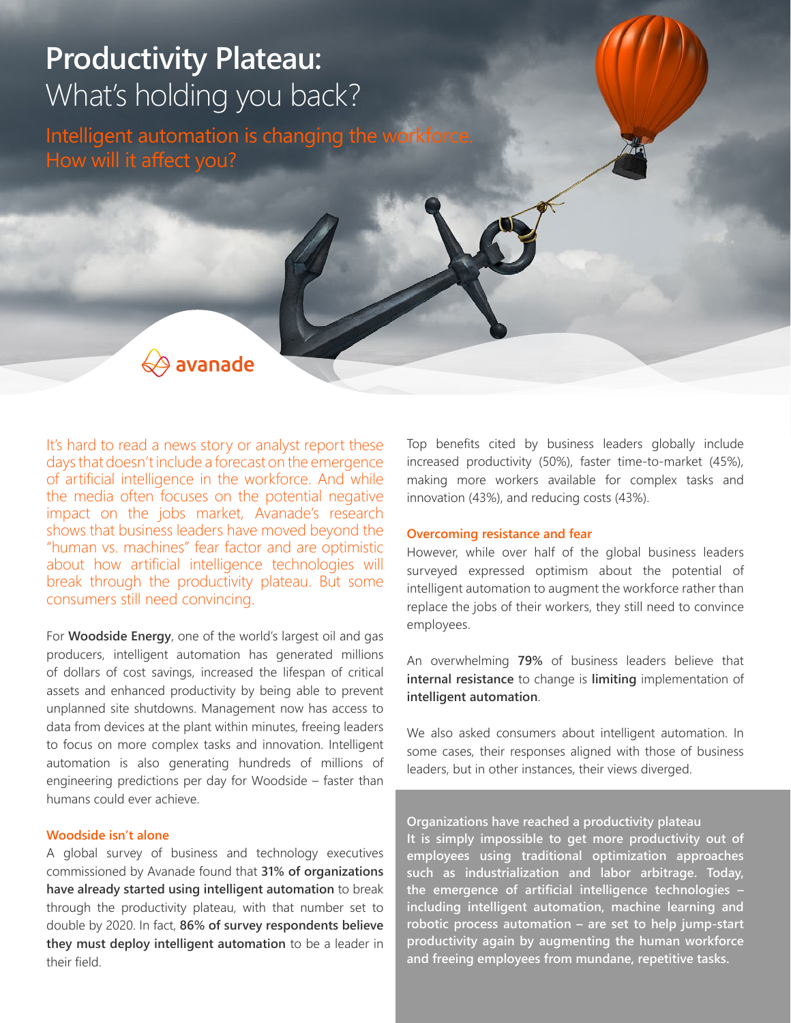# **Productivity Plateau:** What's holding you back?

Intelligent automation is changing the workforce. How will it affect you?



It's hard to read a news story or analyst report these days that doesn't include a forecast on the emergence of artificial intelligence in the workforce. And while the media often focuses on the potential negative impact on the jobs market, Avanade's research shows that business leaders have moved beyond the "human vs. machines" fear factor and are optimistic about how artificial intelligence technologies will break through the productivity plateau. But some consumers still need convincing.

For **Woodside Energy**, one of the world's largest oil and gas producers, intelligent automation has generated millions of dollars of cost savings, increased the lifespan of critical assets and enhanced productivity by being able to prevent unplanned site shutdowns. Management now has access to data from devices at the plant within minutes, freeing leaders to focus on more complex tasks and innovation. Intelligent automation is also generating hundreds of millions of engineering predictions per day for Woodside – faster than humans could ever achieve.

## **Woodside isn't alone**

A global survey of business and technology executives commissioned by Avanade found that **31% of organizations have already started using intelligent automation** to break through the productivity plateau, with that number set to double by 2020. In fact, **86% of survey respondents believe they must deploy intelligent automation** to be a leader in their field.

Top benefits cited by business leaders globally include increased productivity (50%), faster time-to-market (45%), making more workers available for complex tasks and innovation (43%), and reducing costs (43%).

## **Overcoming resistance and fear**

However, while over half of the global business leaders surveyed expressed optimism about the potential of intelligent automation to augment the workforce rather than replace the jobs of their workers, they still need to convince employees.

An overwhelming **79%** of business leaders believe that **internal resistance** to change is **limiting** implementation of **intelligent automation**.

We also asked consumers about intelligent automation. In some cases, their responses aligned with those of business leaders, but in other instances, their views diverged.

## **Organizations have reached a productivity plateau**

**It is simply impossible to get more productivity out of employees using traditional optimization approaches such as industrialization and labor arbitrage. Today, the emergence of artificial intelligence technologies – including intelligent automation, machine learning and robotic process automation – are set to help jump-start productivity again by augmenting the human workforce and freeing employees from mundane, repetitive tasks.**